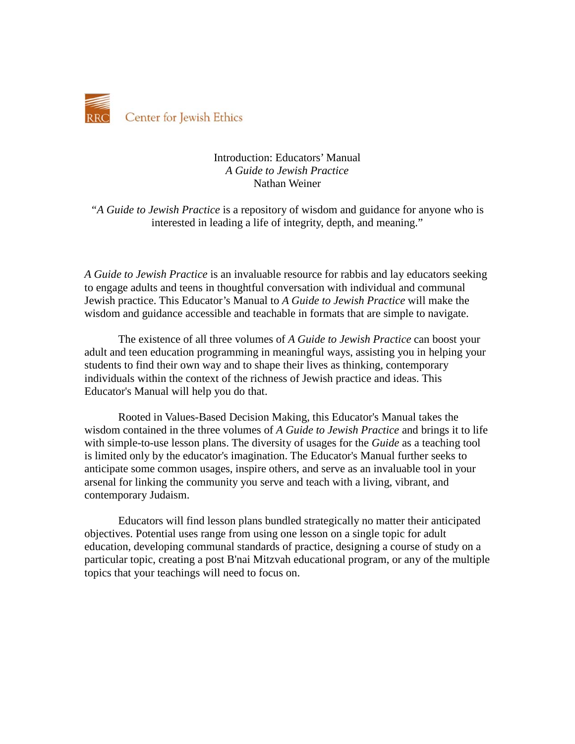

## Introduction: Educators' Manual *A Guide to Jewish Practice* Nathan Weiner

*"A Guide to Jewish Practice* is a repository of wisdom and guidance for anyone who is interested in leading a life of integrity, depth, and meaning."

*A Guide to Jewish Practice* is an invaluable resource for rabbis and lay educators seeking to engage adults and teens in thoughtful conversation with individual and communal Jewish practice. This Educator's Manual to *A Guide to Jewish Practice* will make the wisdom and guidance accessible and teachable in formats that are simple to navigate.

The existence of all three volumes of *A Guide to Jewish Practice* can boost your adult and teen education programming in meaningful ways, assisting you in helping your students to find their own way and to shape their lives as thinking, contemporary individuals within the context of the richness of Jewish practice and ideas. This Educator's Manual will help you do that.

Rooted in Values-Based Decision Making, this Educator's Manual takes the wisdom contained in the three volumes of *A Guide to Jewish Practice* and brings it to life with simple-to-use lesson plans. The diversity of usages for the *Guide* as a teaching tool is limited only by the educator's imagination. The Educator's Manual further seeks to anticipate some common usages, inspire others, and serve as an invaluable tool in your arsenal for linking the community you serve and teach with a living, vibrant, and contemporary Judaism.

Educators will find lesson plans bundled strategically no matter their anticipated objectives. Potential uses range from using one lesson on a single topic for adult education, developing communal standards of practice, designing a course of study on a particular topic, creating a post B'nai Mitzvah educational program, or any of the multiple topics that your teachings will need to focus on.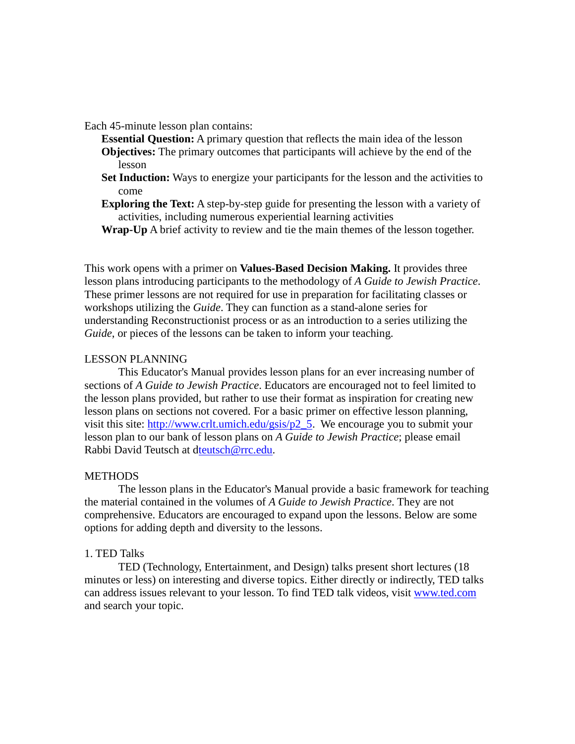Each 45-minute lesson plan contains:

**Essential Question:** A primary question that reflects the main idea of the lesson **Objectives:** The primary outcomes that participants will achieve by the end of the

- lesson
- **Set Induction:** Ways to energize your participants for the lesson and the activities to come
- **Exploring the Text:** A step-by-step guide for presenting the lesson with a variety of activities, including numerous experiential learning activities

**Wrap-Up** A brief activity to review and tie the main themes of the lesson together.

This work opens with a primer on **Values-Based Decision Making.** It provides three lesson plans introducing participants to the methodology of *A Guide to Jewish Practice*. These primer lessons are not required for use in preparation for facilitating classes or workshops utilizing the *Guide*. They can function as a stand-alone series for understanding Reconstructionist process or as an introduction to a series utilizing the *Guide*, or pieces of the lessons can be taken to inform your teaching.

## LESSON PLANNING

This Educator's Manual provides lesson plans for an ever increasing number of sections of *A Guide to Jewish Practice*. Educators are encouraged not to feel limited to the lesson plans provided, but rather to use their format as inspiration for creating new lesson plans on sections not covered. For a basic primer on effective lesson planning, visit this site: [http://www.crlt.umich.edu/gsis/p2\\_5.](http://www.crlt.umich.edu/gsis/p2_5) We encourage you to submit your lesson plan to our bank of lesson plans on *A Guide to Jewish Practice*; please email Rabbi David Teutsch at [dteutsch@rrc.edu.](mailto:teutsch@rrc.edu)

## **METHODS**

The lesson plans in the Educator's Manual provide a basic framework for teaching the material contained in the volumes of *A Guide to Jewish Practice*. They are not comprehensive. Educators are encouraged to expand upon the lessons. Below are some options for adding depth and diversity to the lessons.

# 1. TED Talks

TED (Technology, Entertainment, and Design) talks present short lectures (18 minutes or less) on interesting and diverse topics. Either directly or indirectly, TED talks can address issues relevant to your lesson. To find TED talk videos, visit [www.ted.com](http://www.ted.com/) and search your topic.